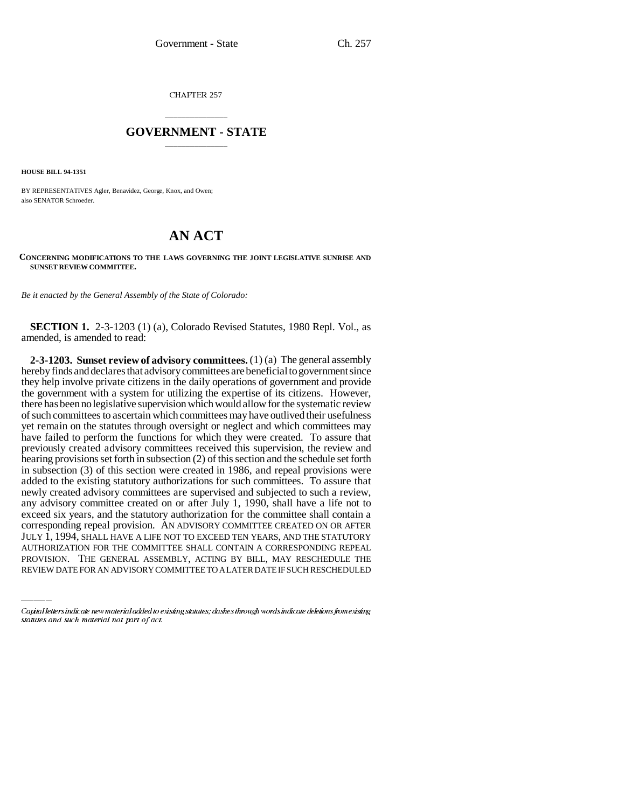CHAPTER 257

## \_\_\_\_\_\_\_\_\_\_\_\_\_\_\_ **GOVERNMENT - STATE** \_\_\_\_\_\_\_\_\_\_\_\_\_\_\_

**HOUSE BILL 94-1351**

BY REPRESENTATIVES Agler, Benavidez, George, Knox, and Owen; also SENATOR Schroeder.

## **AN ACT**

## **CONCERNING MODIFICATIONS TO THE LAWS GOVERNING THE JOINT LEGISLATIVE SUNRISE AND SUNSET REVIEW COMMITTEE.**

*Be it enacted by the General Assembly of the State of Colorado:*

**SECTION 1.** 2-3-1203 (1) (a), Colorado Revised Statutes, 1980 Repl. Vol., as amended, is amended to read:

corresponding repeal provision. AN ADVISORY COMMITTEE CREATED ON OR AFTER **2-3-1203. Sunset review of advisory committees.** (1) (a) The general assembly hereby finds and declares that advisory committees are beneficial to government since they help involve private citizens in the daily operations of government and provide the government with a system for utilizing the expertise of its citizens. However, there has been no legislative supervision which would allow for the systematic review of such committees to ascertain which committees may have outlived their usefulness yet remain on the statutes through oversight or neglect and which committees may have failed to perform the functions for which they were created. To assure that previously created advisory committees received this supervision, the review and hearing provisions set forth in subsection (2) of this section and the schedule set forth in subsection (3) of this section were created in 1986, and repeal provisions were added to the existing statutory authorizations for such committees. To assure that newly created advisory committees are supervised and subjected to such a review, any advisory committee created on or after July 1, 1990, shall have a life not to exceed six years, and the statutory authorization for the committee shall contain a JULY 1, 1994, SHALL HAVE A LIFE NOT TO EXCEED TEN YEARS, AND THE STATUTORY AUTHORIZATION FOR THE COMMITTEE SHALL CONTAIN A CORRESPONDING REPEAL PROVISION. THE GENERAL ASSEMBLY, ACTING BY BILL, MAY RESCHEDULE THE REVIEW DATE FOR AN ADVISORY COMMITTEE TO A LATER DATE IF SUCH RESCHEDULED

Capital letters indicate new material added to existing statutes; dashes through words indicate deletions from existing statutes and such material not part of act.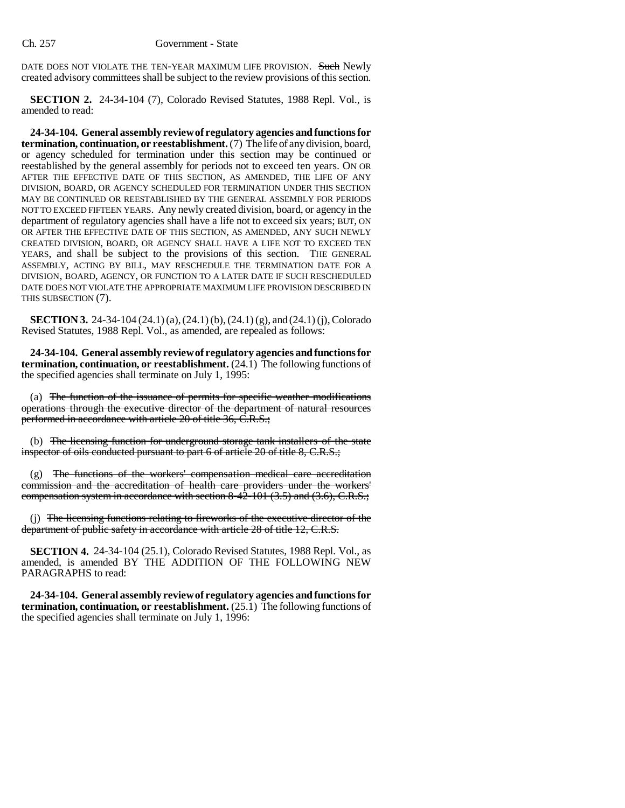DATE DOES NOT VIOLATE THE TEN-YEAR MAXIMUM LIFE PROVISION. Such Newly created advisory committees shall be subject to the review provisions of this section.

**SECTION 2.** 24-34-104 (7), Colorado Revised Statutes, 1988 Repl. Vol., is amended to read:

**24-34-104. General assembly review of regulatory agencies and functions for termination, continuation, or reestablishment.** (7) The life of any division, board, or agency scheduled for termination under this section may be continued or reestablished by the general assembly for periods not to exceed ten years. ON OR AFTER THE EFFECTIVE DATE OF THIS SECTION, AS AMENDED, THE LIFE OF ANY DIVISION, BOARD, OR AGENCY SCHEDULED FOR TERMINATION UNDER THIS SECTION MAY BE CONTINUED OR REESTABLISHED BY THE GENERAL ASSEMBLY FOR PERIODS NOT TO EXCEED FIFTEEN YEARS. Any newly created division, board, or agency in the department of regulatory agencies shall have a life not to exceed six years; BUT, ON OR AFTER THE EFFECTIVE DATE OF THIS SECTION, AS AMENDED, ANY SUCH NEWLY CREATED DIVISION, BOARD, OR AGENCY SHALL HAVE A LIFE NOT TO EXCEED TEN YEARS, and shall be subject to the provisions of this section. THE GENERAL ASSEMBLY, ACTING BY BILL, MAY RESCHEDULE THE TERMINATION DATE FOR A DIVISION, BOARD, AGENCY, OR FUNCTION TO A LATER DATE IF SUCH RESCHEDULED DATE DOES NOT VIOLATE THE APPROPRIATE MAXIMUM LIFE PROVISION DESCRIBED IN THIS SUBSECTION (7).

**SECTION 3.** 24-34-104 (24.1) (a), (24.1) (b), (24.1) (g), and (24.1) (j), Colorado Revised Statutes, 1988 Repl. Vol., as amended, are repealed as follows:

**24-34-104. General assembly review of regulatory agencies and functions for termination, continuation, or reestablishment.** (24.1) The following functions of the specified agencies shall terminate on July 1, 1995:

(a) The function of the issuance of permits for specific weather modifications operations through the executive director of the department of natural resources performed in accordance with article 20 of title 36, C.R.S.;

(b) The licensing function for underground storage tank installers of the state inspector of oils conducted pursuant to part 6 of article 20 of title 8, C.R.S.;

(g) The functions of the workers' compensation medical care accreditation commission and the accreditation of health care providers under the workers' compensation system in accordance with section 8-42-101 (3.5) and (3.6), C.R.S.;

(j) The licensing functions relating to fireworks of the executive director of the department of public safety in accordance with article 28 of title 12, C.R.S.

**SECTION 4.** 24-34-104 (25.1), Colorado Revised Statutes, 1988 Repl. Vol., as amended, is amended BY THE ADDITION OF THE FOLLOWING NEW PARAGRAPHS to read:

**24-34-104. General assembly review of regulatory agencies and functions for termination, continuation, or reestablishment.** (25.1) The following functions of the specified agencies shall terminate on July 1, 1996: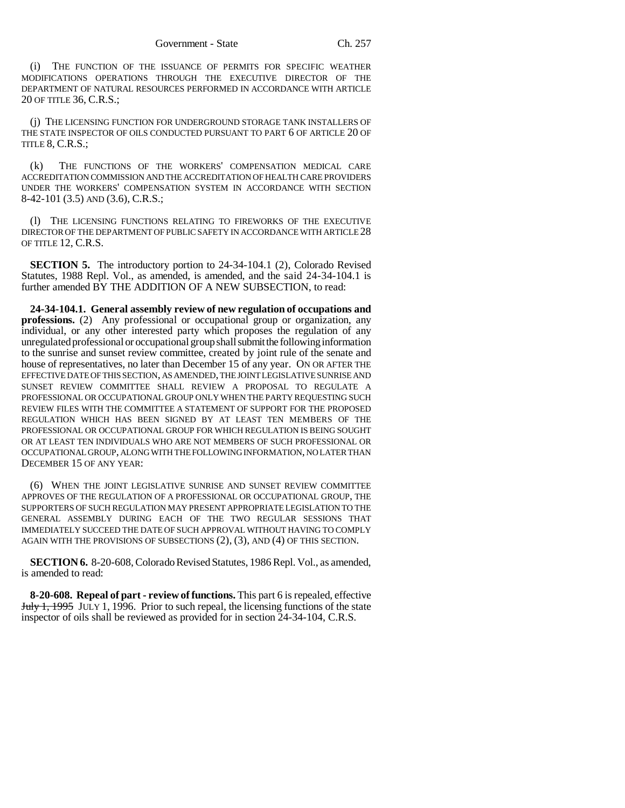(i) THE FUNCTION OF THE ISSUANCE OF PERMITS FOR SPECIFIC WEATHER MODIFICATIONS OPERATIONS THROUGH THE EXECUTIVE DIRECTOR OF THE DEPARTMENT OF NATURAL RESOURCES PERFORMED IN ACCORDANCE WITH ARTICLE 20 OF TITLE 36, C.R.S.;

(j) THE LICENSING FUNCTION FOR UNDERGROUND STORAGE TANK INSTALLERS OF THE STATE INSPECTOR OF OILS CONDUCTED PURSUANT TO PART 6 OF ARTICLE 20 OF TITLE 8, C.R.S.;

(k) THE FUNCTIONS OF THE WORKERS' COMPENSATION MEDICAL CARE ACCREDITATION COMMISSION AND THE ACCREDITATION OF HEALTH CARE PROVIDERS UNDER THE WORKERS' COMPENSATION SYSTEM IN ACCORDANCE WITH SECTION 8-42-101 (3.5) AND (3.6), C.R.S.;

(l) THE LICENSING FUNCTIONS RELATING TO FIREWORKS OF THE EXECUTIVE DIRECTOR OF THE DEPARTMENT OF PUBLIC SAFETY IN ACCORDANCE WITH ARTICLE 28 OF TITLE 12, C.R.S.

**SECTION 5.** The introductory portion to 24-34-104.1 (2), Colorado Revised Statutes, 1988 Repl. Vol., as amended, is amended, and the said 24-34-104.1 is further amended BY THE ADDITION OF A NEW SUBSECTION, to read:

**24-34-104.1. General assembly review of new regulation of occupations and professions.** (2) Any professional or occupational group or organization, any individual, or any other interested party which proposes the regulation of any unregulated professional or occupational group shall submit the following information to the sunrise and sunset review committee, created by joint rule of the senate and house of representatives, no later than December 15 of any year. ON OR AFTER THE EFFECTIVE DATE OF THIS SECTION, AS AMENDED, THE JOINT LEGISLATIVE SUNRISE AND SUNSET REVIEW COMMITTEE SHALL REVIEW A PROPOSAL TO REGULATE A PROFESSIONAL OR OCCUPATIONAL GROUP ONLY WHEN THE PARTY REQUESTING SUCH REVIEW FILES WITH THE COMMITTEE A STATEMENT OF SUPPORT FOR THE PROPOSED REGULATION WHICH HAS BEEN SIGNED BY AT LEAST TEN MEMBERS OF THE PROFESSIONAL OR OCCUPATIONAL GROUP FOR WHICH REGULATION IS BEING SOUGHT OR AT LEAST TEN INDIVIDUALS WHO ARE NOT MEMBERS OF SUCH PROFESSIONAL OR OCCUPATIONAL GROUP, ALONG WITH THE FOLLOWING INFORMATION, NO LATER THAN DECEMBER 15 OF ANY YEAR:

(6) WHEN THE JOINT LEGISLATIVE SUNRISE AND SUNSET REVIEW COMMITTEE APPROVES OF THE REGULATION OF A PROFESSIONAL OR OCCUPATIONAL GROUP, THE SUPPORTERS OF SUCH REGULATION MAY PRESENT APPROPRIATE LEGISLATION TO THE GENERAL ASSEMBLY DURING EACH OF THE TWO REGULAR SESSIONS THAT IMMEDIATELY SUCCEED THE DATE OF SUCH APPROVAL WITHOUT HAVING TO COMPLY AGAIN WITH THE PROVISIONS OF SUBSECTIONS (2), (3), AND (4) OF THIS SECTION.

**SECTION 6.** 8-20-608, Colorado Revised Statutes, 1986 Repl. Vol., as amended, is amended to read:

**8-20-608. Repeal of part - review of functions.** This part 6 is repealed, effective July 1, 1995 JULY 1, 1996. Prior to such repeal, the licensing functions of the state inspector of oils shall be reviewed as provided for in section 24-34-104, C.R.S.